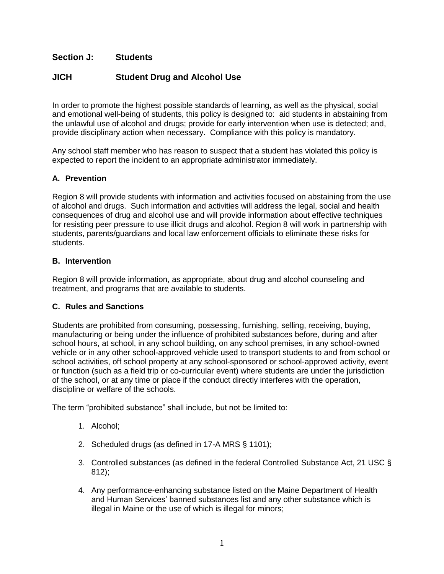## **Section J: Students**

# **JICH Student Drug and Alcohol Use**

In order to promote the highest possible standards of learning, as well as the physical, social and emotional well-being of students, this policy is designed to: aid students in abstaining from the unlawful use of alcohol and drugs; provide for early intervention when use is detected; and, provide disciplinary action when necessary. Compliance with this policy is mandatory.

Any school staff member who has reason to suspect that a student has violated this policy is expected to report the incident to an appropriate administrator immediately.

## **A. Prevention**

Region 8 will provide students with information and activities focused on abstaining from the use of alcohol and drugs. Such information and activities will address the legal, social and health consequences of drug and alcohol use and will provide information about effective techniques for resisting peer pressure to use illicit drugs and alcohol. Region 8 will work in partnership with students, parents/guardians and local law enforcement officials to eliminate these risks for students.

### **B. Intervention**

Region 8 will provide information, as appropriate, about drug and alcohol counseling and treatment, and programs that are available to students.

### **C. Rules and Sanctions**

Students are prohibited from consuming, possessing, furnishing, selling, receiving, buying, manufacturing or being under the influence of prohibited substances before, during and after school hours, at school, in any school building, on any school premises, in any school-owned vehicle or in any other school-approved vehicle used to transport students to and from school or school activities, off school property at any school-sponsored or school-approved activity, event or function (such as a field trip or co-curricular event) where students are under the jurisdiction of the school, or at any time or place if the conduct directly interferes with the operation, discipline or welfare of the schools.

The term "prohibited substance" shall include, but not be limited to:

- 1. Alcohol;
- 2. Scheduled drugs (as defined in 17-A MRS § 1101);
- 3. Controlled substances (as defined in the federal Controlled Substance Act, 21 USC § 812);
- 4. Any performance-enhancing substance listed on the Maine Department of Health and Human Services' banned substances list and any other substance which is illegal in Maine or the use of which is illegal for minors;